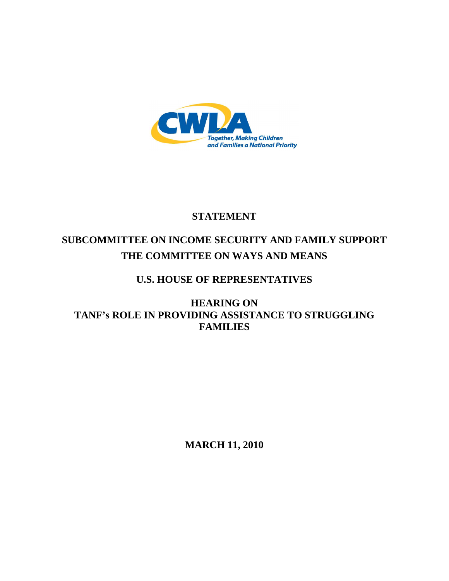

# **STATEMENT**

# **SUBCOMMITTEE ON INCOME SECURITY AND FAMILY SUPPORT THE COMMITTEE ON WAYS AND MEANS**

# **U.S. HOUSE OF REPRESENTATIVES**

# **HEARING ON TANF's ROLE IN PROVIDING ASSISTANCE TO STRUGGLING FAMILIES**

**MARCH 11, 2010**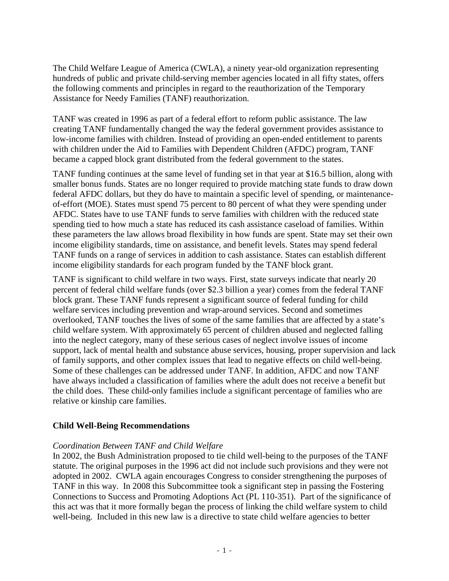The Child Welfare League of America (CWLA), a ninety year-old organization representing hundreds of public and private child-serving member agencies located in all fifty states, offers the following comments and principles in regard to the reauthorization of the Temporary Assistance for Needy Families (TANF) reauthorization.

TANF was created in 1996 as part of a federal effort to reform public assistance. The law creating TANF fundamentally changed the way the federal government provides assistance to low-income families with children. Instead of providing an open-ended entitlement to parents with children under the Aid to Families with Dependent Children (AFDC) program, TANF became a capped block grant distributed from the federal government to the states.

TANF funding continues at the same level of funding set in that year at \$16.5 billion, along with smaller bonus funds. States are no longer required to provide matching state funds to draw down federal AFDC dollars, but they do have to maintain a specific level of spending, or maintenanceof-effort (MOE). States must spend 75 percent to 80 percent of what they were spending under AFDC. States have to use TANF funds to serve families with children with the reduced state spending tied to how much a state has reduced its cash assistance caseload of families. Within these parameters the law allows broad flexibility in how funds are spent. State may set their own income eligibility standards, time on assistance, and benefit levels. States may spend federal TANF funds on a range of services in addition to cash assistance. States can establish different income eligibility standards for each program funded by the TANF block grant.

TANF is significant to child welfare in two ways. First, state surveys indicate that nearly 20 percent of federal child welfare funds (over \$2.3 billion a year) comes from the federal TANF block grant. These TANF funds represent a significant source of federal funding for child welfare services including prevention and wrap-around services. Second and sometimes overlooked, TANF touches the lives of some of the same families that are affected by a state's child welfare system. With approximately 65 percent of children abused and neglected falling into the neglect category, many of these serious cases of neglect involve issues of income support, lack of mental health and substance abuse services, housing, proper supervision and lack of family supports, and other complex issues that lead to negative effects on child well-being. Some of these challenges can be addressed under TANF. In addition, AFDC and now TANF have always included a classification of families where the adult does not receive a benefit but the child does. These child-only families include a significant percentage of families who are relative or kinship care families.

# **Child Well-Being Recommendations**

# *Coordination Between TANF and Child Welfare*

In 2002, the Bush Administration proposed to tie child well-being to the purposes of the TANF statute. The original purposes in the 1996 act did not include such provisions and they were not adopted in 2002. CWLA again encourages Congress to consider strengthening the purposes of TANF in this way. In 2008 this Subcommittee took a significant step in passing the Fostering Connections to Success and Promoting Adoptions Act (PL 110-351). Part of the significance of this act was that it more formally began the process of linking the child welfare system to child well-being. Included in this new law is a directive to state child welfare agencies to better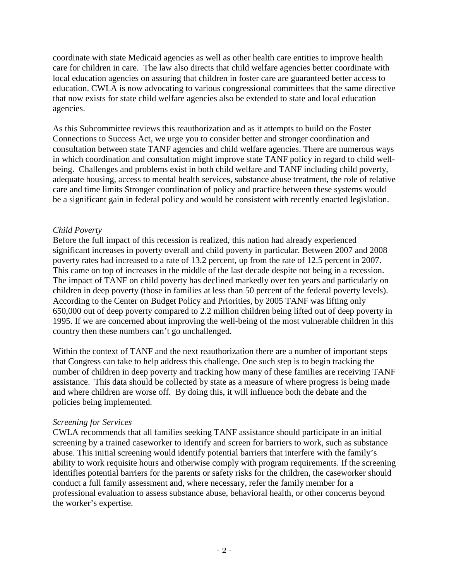coordinate with state Medicaid agencies as well as other health care entities to improve health care for children in care. The law also directs that child welfare agencies better coordinate with local education agencies on assuring that children in foster care are guaranteed better access to education. CWLA is now advocating to various congressional committees that the same directive that now exists for state child welfare agencies also be extended to state and local education agencies.

As this Subcommittee reviews this reauthorization and as it attempts to build on the Foster Connections to Success Act, we urge you to consider better and stronger coordination and consultation between state TANF agencies and child welfare agencies. There are numerous ways in which coordination and consultation might improve state TANF policy in regard to child wellbeing. Challenges and problems exist in both child welfare and TANF including child poverty, adequate housing, access to mental health services, substance abuse treatment, the role of relative care and time limits Stronger coordination of policy and practice between these systems would be a significant gain in federal policy and would be consistent with recently enacted legislation.

# *Child Poverty*

Before the full impact of this recession is realized, this nation had already experienced significant increases in poverty overall and child poverty in particular. Between 2007 and 2008 poverty rates had increased to a rate of 13.2 percent, up from the rate of 12.5 percent in 2007. This came on top of increases in the middle of the last decade despite not being in a recession. The impact of TANF on child poverty has declined markedly over ten years and particularly on children in deep poverty (those in families at less than 50 percent of the federal poverty levels). According to the Center on Budget Policy and Priorities, by 2005 TANF was lifting only 650,000 out of deep poverty compared to 2.2 million children being lifted out of deep poverty in 1995. If we are concerned about improving the well-being of the most vulnerable children in this country then these numbers can't go unchallenged.

Within the context of TANF and the next reauthorization there are a number of important steps that Congress can take to help address this challenge. One such step is to begin tracking the number of children in deep poverty and tracking how many of these families are receiving TANF assistance. This data should be collected by state as a measure of where progress is being made and where children are worse off. By doing this, it will influence both the debate and the policies being implemented.

# *Screening for Services*

CWLA recommends that all families seeking TANF assistance should participate in an initial screening by a trained caseworker to identify and screen for barriers to work, such as substance abuse. This initial screening would identify potential barriers that interfere with the family's ability to work requisite hours and otherwise comply with program requirements. If the screening identifies potential barriers for the parents or safety risks for the children, the caseworker should conduct a full family assessment and, where necessary, refer the family member for a professional evaluation to assess substance abuse, behavioral health, or other concerns beyond the worker's expertise.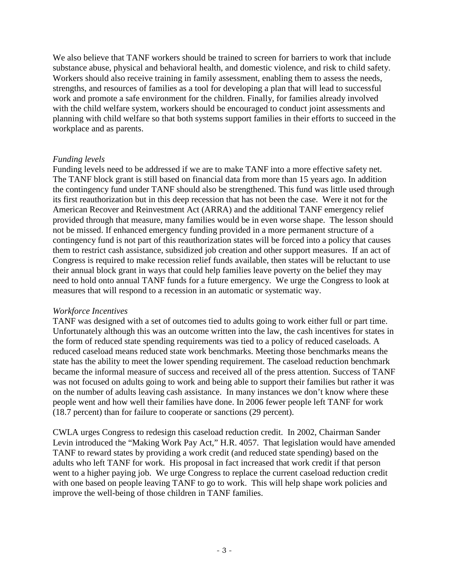We also believe that TANF workers should be trained to screen for barriers to work that include substance abuse, physical and behavioral health, and domestic violence, and risk to child safety. Workers should also receive training in family assessment, enabling them to assess the needs, strengths, and resources of families as a tool for developing a plan that will lead to successful work and promote a safe environment for the children. Finally, for families already involved with the child welfare system, workers should be encouraged to conduct joint assessments and planning with child welfare so that both systems support families in their efforts to succeed in the workplace and as parents.

#### *Funding levels*

Funding levels need to be addressed if we are to make TANF into a more effective safety net. The TANF block grant is still based on financial data from more than 15 years ago. In addition the contingency fund under TANF should also be strengthened. This fund was little used through its first reauthorization but in this deep recession that has not been the case. Were it not for the American Recover and Reinvestment Act (ARRA) and the additional TANF emergency relief provided through that measure, many families would be in even worse shape. The lesson should not be missed. If enhanced emergency funding provided in a more permanent structure of a contingency fund is not part of this reauthorization states will be forced into a policy that causes them to restrict cash assistance, subsidized job creation and other support measures. If an act of Congress is required to make recession relief funds available, then states will be reluctant to use their annual block grant in ways that could help families leave poverty on the belief they may need to hold onto annual TANF funds for a future emergency. We urge the Congress to look at measures that will respond to a recession in an automatic or systematic way.

#### *Workforce Incentives*

TANF was designed with a set of outcomes tied to adults going to work either full or part time. Unfortunately although this was an outcome written into the law, the cash incentives for states in the form of reduced state spending requirements was tied to a policy of reduced caseloads. A reduced caseload means reduced state work benchmarks. Meeting those benchmarks means the state has the ability to meet the lower spending requirement. The caseload reduction benchmark became the informal measure of success and received all of the press attention. Success of TANF was not focused on adults going to work and being able to support their families but rather it was on the number of adults leaving cash assistance. In many instances we don't know where these people went and how well their families have done. In 2006 fewer people left TANF for work (18.7 percent) than for failure to cooperate or sanctions (29 percent).

CWLA urges Congress to redesign this caseload reduction credit. In 2002, Chairman Sander Levin introduced the "Making Work Pay Act," H.R. 4057. That legislation would have amended TANF to reward states by providing a work credit (and reduced state spending) based on the adults who left TANF for work. His proposal in fact increased that work credit if that person went to a higher paying job. We urge Congress to replace the current caseload reduction credit with one based on people leaving TANF to go to work. This will help shape work policies and improve the well-being of those children in TANF families.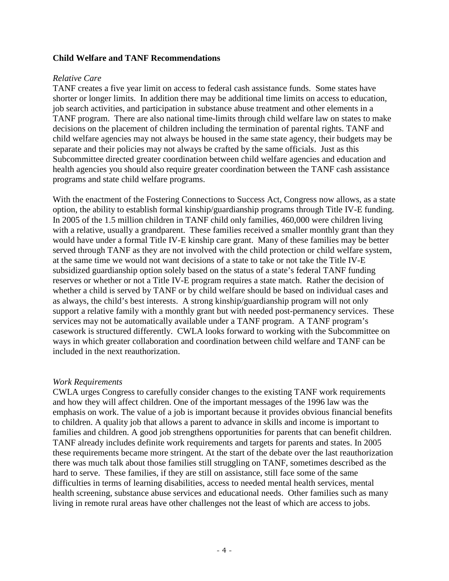#### **Child Welfare and TANF Recommendations**

#### *Relative Care*

TANF creates a five year limit on access to federal cash assistance funds. Some states have shorter or longer limits. In addition there may be additional time limits on access to education, job search activities, and participation in substance abuse treatment and other elements in a TANF program. There are also national time-limits through child welfare law on states to make decisions on the placement of children including the termination of parental rights. TANF and child welfare agencies may not always be housed in the same state agency, their budgets may be separate and their policies may not always be crafted by the same officials. Just as this Subcommittee directed greater coordination between child welfare agencies and education and health agencies you should also require greater coordination between the TANF cash assistance programs and state child welfare programs.

With the enactment of the Fostering Connections to Success Act, Congress now allows, as a state option, the ability to establish formal kinship/guardianship programs through Title IV-E funding. In 2005 of the 1.5 million children in TANF child only families, 460,000 were children living with a relative, usually a grandparent. These families received a smaller monthly grant than they would have under a formal Title IV-E kinship care grant. Many of these families may be better served through TANF as they are not involved with the child protection or child welfare system, at the same time we would not want decisions of a state to take or not take the Title IV-E subsidized guardianship option solely based on the status of a state's federal TANF funding reserves or whether or not a Title IV-E program requires a state match. Rather the decision of whether a child is served by TANF or by child welfare should be based on individual cases and as always, the child's best interests. A strong kinship/guardianship program will not only support a relative family with a monthly grant but with needed post-permanency services. These services may not be automatically available under a TANF program. A TANF program's casework is structured differently. CWLA looks forward to working with the Subcommittee on ways in which greater collaboration and coordination between child welfare and TANF can be included in the next reauthorization.

#### *Work Requirements*

CWLA urges Congress to carefully consider changes to the existing TANF work requirements and how they will affect children. One of the important messages of the 1996 law was the emphasis on work. The value of a job is important because it provides obvious financial benefits to children. A quality job that allows a parent to advance in skills and income is important to families and children. A good job strengthens opportunities for parents that can benefit children. TANF already includes definite work requirements and targets for parents and states. In 2005 these requirements became more stringent. At the start of the debate over the last reauthorization there was much talk about those families still struggling on TANF, sometimes described as the hard to serve. These families, if they are still on assistance, still face some of the same difficulties in terms of learning disabilities, access to needed mental health services, mental health screening, substance abuse services and educational needs. Other families such as many living in remote rural areas have other challenges not the least of which are access to jobs.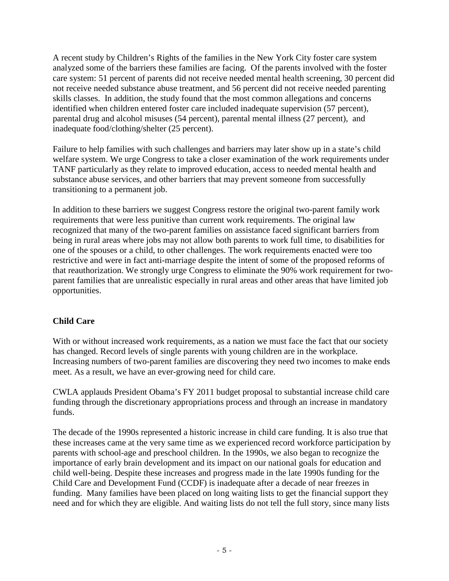A recent study by Children's Rights of the families in the New York City foster care system analyzed some of the barriers these families are facing. Of the parents involved with the foster care system: 51 percent of parents did not receive needed mental health screening, 30 percent did not receive needed substance abuse treatment, and 56 percent did not receive needed parenting skills classes. In addition, the study found that the most common allegations and concerns identified when children entered foster care included inadequate supervision (57 percent), parental drug and alcohol misuses (54 percent), parental mental illness (27 percent), and inadequate food/clothing/shelter (25 percent).

Failure to help families with such challenges and barriers may later show up in a state's child welfare system. We urge Congress to take a closer examination of the work requirements under TANF particularly as they relate to improved education, access to needed mental health and substance abuse services, and other barriers that may prevent someone from successfully transitioning to a permanent job.

In addition to these barriers we suggest Congress restore the original two-parent family work requirements that were less punitive than current work requirements. The original law recognized that many of the two-parent families on assistance faced significant barriers from being in rural areas where jobs may not allow both parents to work full time, to disabilities for one of the spouses or a child, to other challenges. The work requirements enacted were too restrictive and were in fact anti-marriage despite the intent of some of the proposed reforms of that reauthorization. We strongly urge Congress to eliminate the 90% work requirement for twoparent families that are unrealistic especially in rural areas and other areas that have limited job opportunities.

# **Child Care**

With or without increased work requirements, as a nation we must face the fact that our society has changed. Record levels of single parents with young children are in the workplace. Increasing numbers of two-parent families are discovering they need two incomes to make ends meet. As a result, we have an ever-growing need for child care.

CWLA applauds President Obama's FY 2011 budget proposal to substantial increase child care funding through the discretionary appropriations process and through an increase in mandatory funds.

The decade of the 1990s represented a historic increase in child care funding. It is also true that these increases came at the very same time as we experienced record workforce participation by parents with school-age and preschool children. In the 1990s, we also began to recognize the importance of early brain development and its impact on our national goals for education and child well-being. Despite these increases and progress made in the late 1990s funding for the Child Care and Development Fund (CCDF) is inadequate after a decade of near freezes in funding. Many families have been placed on long waiting lists to get the financial support they need and for which they are eligible. And waiting lists do not tell the full story, since many lists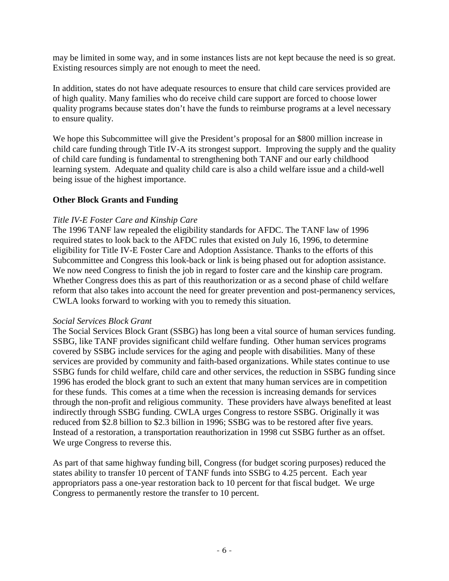may be limited in some way, and in some instances lists are not kept because the need is so great. Existing resources simply are not enough to meet the need.

In addition, states do not have adequate resources to ensure that child care services provided are of high quality. Many families who do receive child care support are forced to choose lower quality programs because states don't have the funds to reimburse programs at a level necessary to ensure quality.

We hope this Subcommittee will give the President's proposal for an \$800 million increase in child care funding through Title IV-A its strongest support. Improving the supply and the quality of child care funding is fundamental to strengthening both TANF and our early childhood learning system. Adequate and quality child care is also a child welfare issue and a child-well being issue of the highest importance.

# **Other Block Grants and Funding**

#### *Title IV-E Foster Care and Kinship Care*

The 1996 TANF law repealed the eligibility standards for AFDC. The TANF law of 1996 required states to look back to the AFDC rules that existed on July 16, 1996, to determine eligibility for Title IV-E Foster Care and Adoption Assistance. Thanks to the efforts of this Subcommittee and Congress this look-back or link is being phased out for adoption assistance. We now need Congress to finish the job in regard to foster care and the kinship care program. Whether Congress does this as part of this reauthorization or as a second phase of child welfare reform that also takes into account the need for greater prevention and post-permanency services, CWLA looks forward to working with you to remedy this situation.

#### *Social Services Block Grant*

The Social Services Block Grant (SSBG) has long been a vital source of human services funding. SSBG, like TANF provides significant child welfare funding. Other human services programs covered by SSBG include services for the aging and people with disabilities. Many of these services are provided by community and faith-based organizations. While states continue to use SSBG funds for child welfare, child care and other services, the reduction in SSBG funding since 1996 has eroded the block grant to such an extent that many human services are in competition for these funds. This comes at a time when the recession is increasing demands for services through the non-profit and religious community. These providers have always benefited at least indirectly through SSBG funding. CWLA urges Congress to restore SSBG. Originally it was reduced from \$2.8 billion to \$2.3 billion in 1996; SSBG was to be restored after five years. Instead of a restoration, a transportation reauthorization in 1998 cut SSBG further as an offset. We urge Congress to reverse this.

As part of that same highway funding bill, Congress (for budget scoring purposes) reduced the states ability to transfer 10 percent of TANF funds into SSBG to 4.25 percent. Each year appropriators pass a one-year restoration back to 10 percent for that fiscal budget. We urge Congress to permanently restore the transfer to 10 percent.